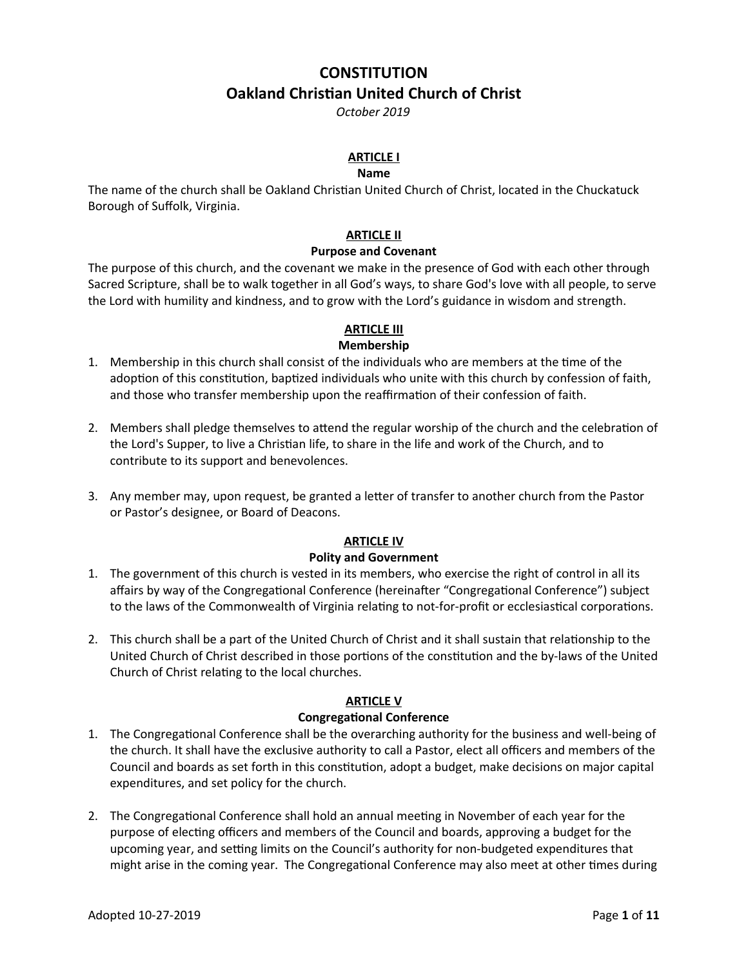# **CONSTITUTION Oakland Christian United Church of Christ**

*October 2019*

# **ARTICLE I**

#### **Name**

The name of the church shall be Oakland Christian United Church of Christ, located in the Chuckatuck Borough of Suffolk, Virginia.

## **ARTICLE II**

#### **Purpose and Covenant**

The purpose of this church, and the covenant we make in the presence of God with each other through Sacred Scripture, shall be to walk together in all God's ways, to share God's love with all people, to serve the Lord with humility and kindness, and to grow with the Lord's guidance in wisdom and strength.

# **ARTICLE III**

# **Membership**

- 1. Membership in this church shall consist of the individuals who are members at the time of the adoption of this constitution, baptized individuals who unite with this church by confession of faith, and those who transfer membership upon the reaffirmation of their confession of faith.
- 2. Members shall pledge themselves to attend the regular worship of the church and the celebration of the Lord's Supper, to live a Christian life, to share in the life and work of the Church, and to contribute to its support and benevolences.
- 3. Any member may, upon request, be granted a letter of transfer to another church from the Pastor or Pastor's designee, or Board of Deacons.

# **ARTICLE IV**

## **Polity and Government**

- 1. The government of this church is vested in its members, who exercise the right of control in all its affairs by way of the Congregational Conference (hereinafter "Congregational Conference") subject to the laws of the Commonwealth of Virginia relating to not-for-profit or ecclesiastical corporations.
- 2. This church shall be a part of the United Church of Christ and it shall sustain that relationship to the United Church of Christ described in those portions of the constitution and the by-laws of the United Church of Christ relating to the local churches.

## **ARTICLE V**

## **Congregational Conference**

- 1. The Congregational Conference shall be the overarching authority for the business and well-being of the church. It shall have the exclusive authority to call a Pastor, elect all officers and members of the Council and boards as set forth in this constitution, adopt a budget, make decisions on major capital expenditures, and set policy for the church.
- 2. The Congregational Conference shall hold an annual meeting in November of each year for the purpose of electing officers and members of the Council and boards, approving a budget for the upcoming year, and setting limits on the Council's authority for non-budgeted expenditures that might arise in the coming year. The Congregational Conference may also meet at other times during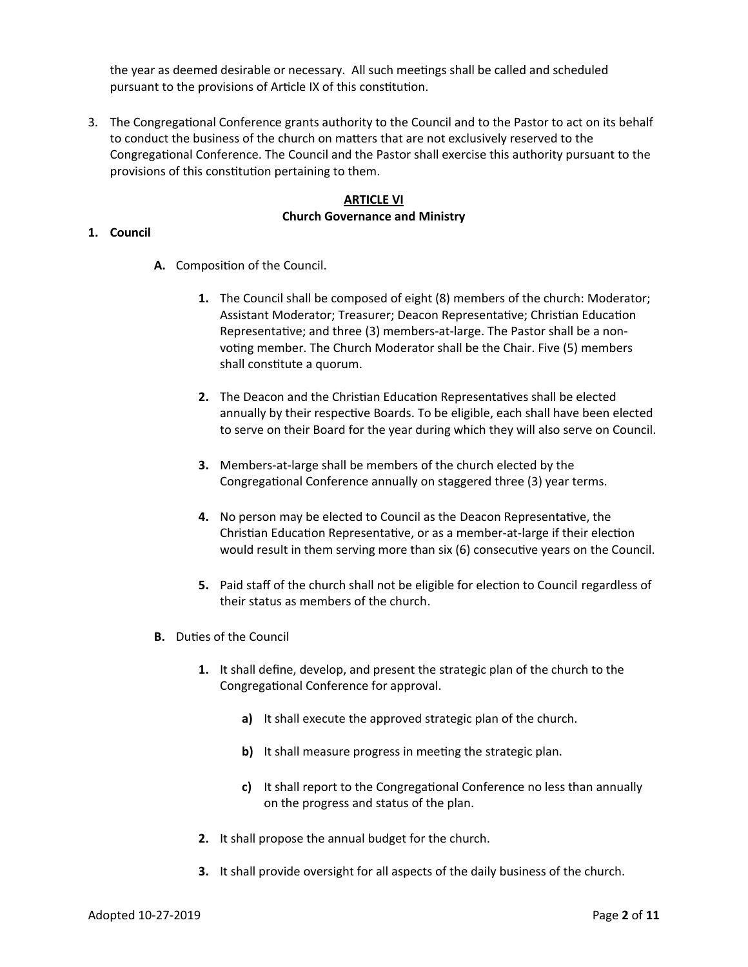the year as deemed desirable or necessary. All such meetings shall be called and scheduled pursuant to the provisions of Article IX of this constitution.

3. The Congregational Conference grants authority to the Council and to the Pastor to act on its behalf to conduct the business of the church on matters that are not exclusively reserved to the Congregational Conference. The Council and the Pastor shall exercise this authority pursuant to the provisions of this constitution pertaining to them.

## **ARTICLE VI Church Governance and Ministry**

#### **1. Council**

- **A.** Composition of the Council.
	- **1.** The Council shall be composed of eight (8) members of the church: Moderator; Assistant Moderator; Treasurer; Deacon Representative; Christian Education Representative; and three (3) members-at-large. The Pastor shall be a nonvoting member. The Church Moderator shall be the Chair. Five (5) members shall constitute a quorum.
	- **2.** The Deacon and the Christian Education Representatives shall be elected annually by their respective Boards. To be eligible, each shall have been elected to serve on their Board for the year during which they will also serve on Council.
	- **3.** Members-at-large shall be members of the church elected by the Congregational Conference annually on staggered three (3) year terms.
	- **4.** No person may be elected to Council as the Deacon Representative, the Christian Education Representative, or as a member-at-large if their election would result in them serving more than six (6) consecutive years on the Council.
	- **5.** Paid staff of the church shall not be eligible for election to Council regardless of their status as members of the church.
- **B.** Duties of the Council
	- **1.** It shall define, develop, and present the strategic plan of the church to the Congregational Conference for approval.
		- **a)** It shall execute the approved strategic plan of the church.
		- **b)** It shall measure progress in meeting the strategic plan.
		- **c)** It shall report to the Congregational Conference no less than annually on the progress and status of the plan.
	- **2.** It shall propose the annual budget for the church.
	- **3.** It shall provide oversight for all aspects of the daily business of the church.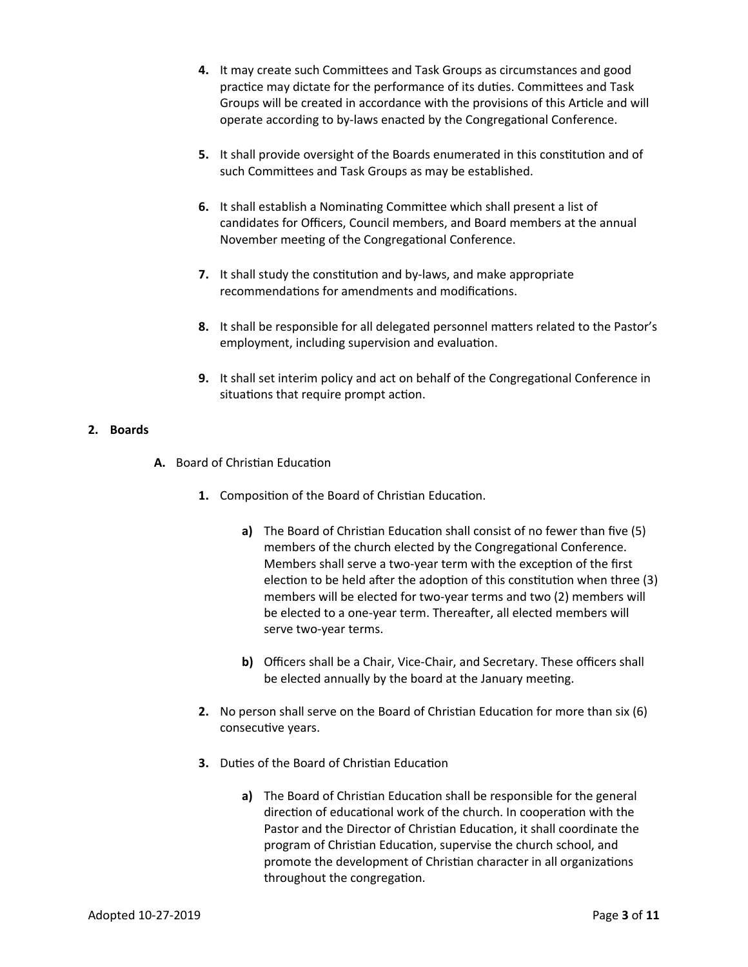- **4.** It may create such Committees and Task Groups as circumstances and good practice may dictate for the performance of its duties. Committees and Task Groups will be created in accordance with the provisions of this Article and will operate according to by-laws enacted by the Congregational Conference.
- **5.** It shall provide oversight of the Boards enumerated in this constitution and of such Committees and Task Groups as may be established.
- **6.** It shall establish a Nominating Committee which shall present a list of candidates for Officers, Council members, and Board members at the annual November meeting of the Congregational Conference.
- **7.** It shall study the constitution and by-laws, and make appropriate recommendations for amendments and modifications.
- **8.** It shall be responsible for all delegated personnel matters related to the Pastor's employment, including supervision and evaluation.
- **9.** It shall set interim policy and act on behalf of the Congregational Conference in situations that require prompt action.

## **2. Boards**

- **A.** Board of Christian Education
	- **1.** Composition of the Board of Christian Education.
		- **a)** The Board of Christian Education shall consist of no fewer than five (5) members of the church elected by the Congregational Conference. Members shall serve a two-year term with the exception of the first election to be held after the adoption of this constitution when three (3) members will be elected for two-year terms and two (2) members will be elected to a one-year term. Thereafter, all elected members will serve two-year terms.
		- **b)** Officers shall be a Chair, Vice-Chair, and Secretary. These officers shall be elected annually by the board at the January meeting.
	- **2.** No person shall serve on the Board of Christian Education for more than six (6) consecutive years.
	- **3.** Duties of the Board of Christian Education
		- **a)** The Board of Christian Education shall be responsible for the general direction of educational work of the church. In cooperation with the Pastor and the Director of Christian Education, it shall coordinate the program of Christian Education, supervise the church school, and promote the development of Christian character in all organizations throughout the congregation.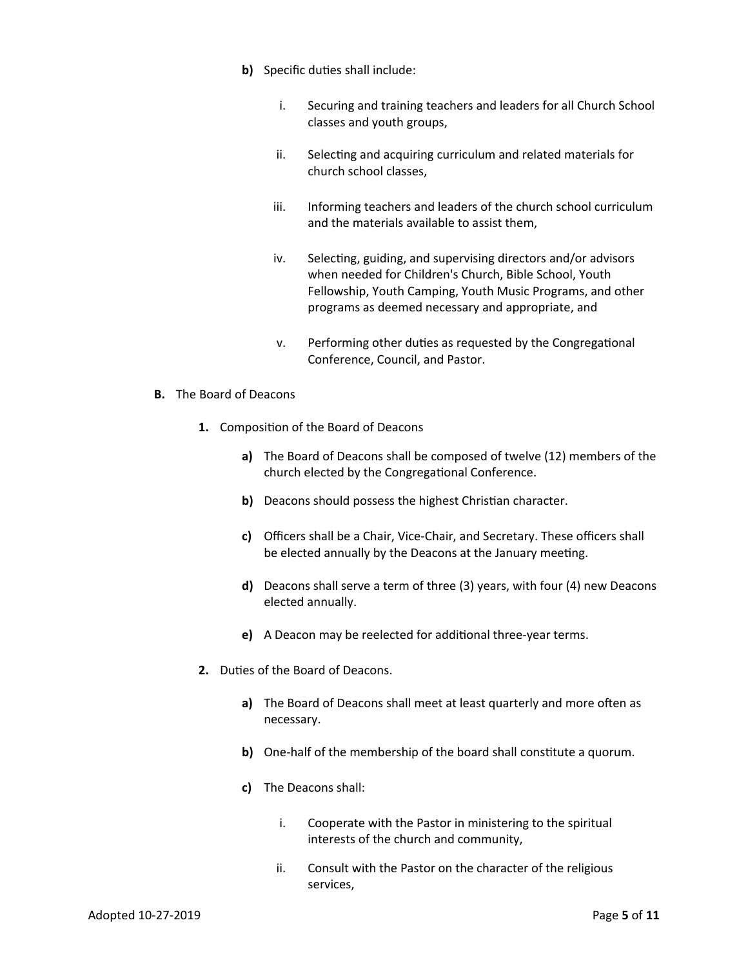- **b)** Specific duties shall include:
	- i. Securing and training teachers and leaders for all Church School classes and youth groups,
	- ii. Selecting and acquiring curriculum and related materials for church school classes,
	- iii. Informing teachers and leaders of the church school curriculum and the materials available to assist them,
	- iv. Selecting, guiding, and supervising directors and/or advisors when needed for Children's Church, Bible School, Youth Fellowship, Youth Camping, Youth Music Programs, and other programs as deemed necessary and appropriate, and
	- v. Performing other duties as requested by the Congregational Conference, Council, and Pastor.
- **B.** The Board of Deacons
	- **1.** Composition of the Board of Deacons
		- **a)** The Board of Deacons shall be composed of twelve (12) members of the church elected by the Congregational Conference.
		- **b)** Deacons should possess the highest Christian character.
		- **c)** Officers shall be a Chair, Vice-Chair, and Secretary. These officers shall be elected annually by the Deacons at the January meeting.
		- **d)** Deacons shall serve a term of three (3) years, with four (4) new Deacons elected annually.
		- **e)** A Deacon may be reelected for additional three-year terms.
	- **2.** Duties of the Board of Deacons.
		- **a)** The Board of Deacons shall meet at least quarterly and more often as necessary.
		- **b)** One-half of the membership of the board shall constitute a quorum.
		- **c)** The Deacons shall:
			- i. Cooperate with the Pastor in ministering to the spiritual interests of the church and community,
			- ii. Consult with the Pastor on the character of the religious services,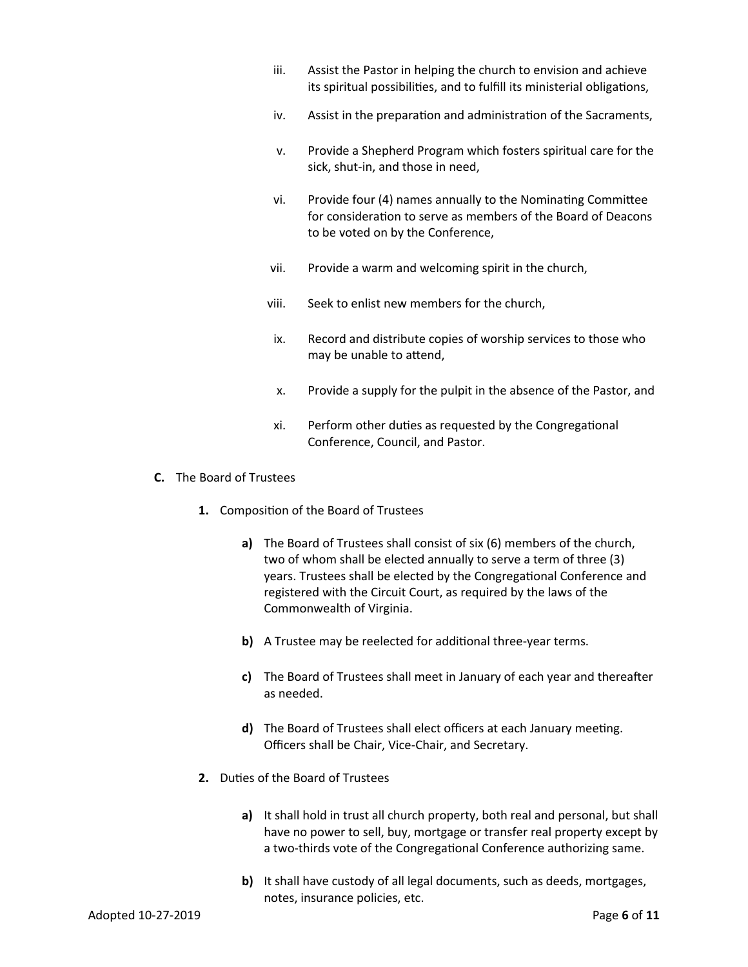- iii. Assist the Pastor in helping the church to envision and achieve its spiritual possibilities, and to fulfill its ministerial obligations,
- iv. Assist in the preparation and administration of the Sacraments,
- v. Provide a Shepherd Program which fosters spiritual care for the sick, shut-in, and those in need,
- vi. Provide four (4) names annually to the Nominating Committee for consideration to serve as members of the Board of Deacons to be voted on by the Conference,
- vii. Provide a warm and welcoming spirit in the church,
- viii. Seek to enlist new members for the church,
- ix. Record and distribute copies of worship services to those who may be unable to attend,
- x. Provide a supply for the pulpit in the absence of the Pastor, and
- xi. Perform other duties as requested by the Congregational Conference, Council, and Pastor.
- **C.** The Board of Trustees
	- **1.** Composition of the Board of Trustees
		- **a)** The Board of Trustees shall consist of six (6) members of the church, two of whom shall be elected annually to serve a term of three (3) years. Trustees shall be elected by the Congregational Conference and registered with the Circuit Court, as required by the laws of the Commonwealth of Virginia.
		- **b)** A Trustee may be reelected for additional three-year terms.
		- **c)** The Board of Trustees shall meet in January of each year and thereafter as needed.
		- **d)** The Board of Trustees shall elect officers at each January meeting. Officers shall be Chair, Vice-Chair, and Secretary.
	- **2.** Duties of the Board of Trustees
		- **a)** It shall hold in trust all church property, both real and personal, but shall have no power to sell, buy, mortgage or transfer real property except by a two-thirds vote of the Congregational Conference authorizing same.
		- **b)** It shall have custody of all legal documents, such as deeds, mortgages, notes, insurance policies, etc.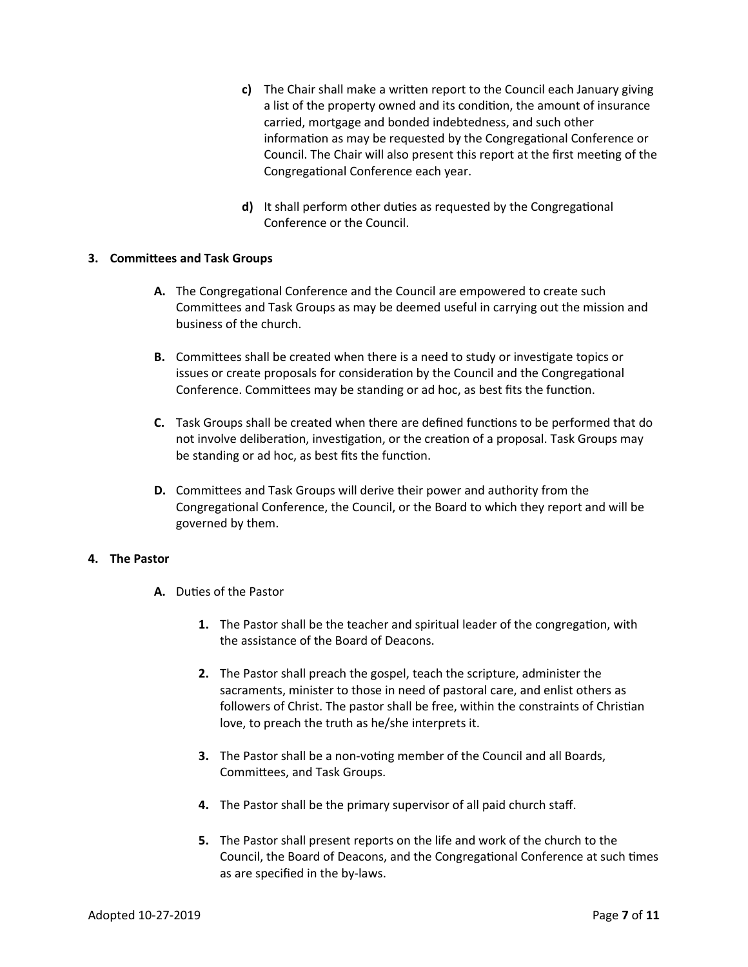- **c)** The Chair shall make a written report to the Council each January giving a list of the property owned and its condition, the amount of insurance carried, mortgage and bonded indebtedness, and such other information as may be requested by the Congregational Conference or Council. The Chair will also present this report at the first meeting of the Congregational Conference each year.
- **d)** It shall perform other duties as requested by the Congregational Conference or the Council.

## **3. Committees and Task Groups**

- **A.** The Congregational Conference and the Council are empowered to create such Committees and Task Groups as may be deemed useful in carrying out the mission and business of the church.
- **B.** Committees shall be created when there is a need to study or investigate topics or issues or create proposals for consideration by the Council and the Congregational Conference. Committees may be standing or ad hoc, as best fits the function.
- **C.** Task Groups shall be created when there are defined functions to be performed that do not involve deliberation, investigation, or the creation of a proposal. Task Groups may be standing or ad hoc, as best fits the function.
- **D.** Committees and Task Groups will derive their power and authority from the Congregational Conference, the Council, or the Board to which they report and will be governed by them.

## **4. The Pastor**

- **A.** Duties of the Pastor
	- **1.** The Pastor shall be the teacher and spiritual leader of the congregation, with the assistance of the Board of Deacons.
	- **2.** The Pastor shall preach the gospel, teach the scripture, administer the sacraments, minister to those in need of pastoral care, and enlist others as followers of Christ. The pastor shall be free, within the constraints of Christian love, to preach the truth as he/she interprets it.
	- **3.** The Pastor shall be a non-voting member of the Council and all Boards, Committees, and Task Groups.
	- **4.** The Pastor shall be the primary supervisor of all paid church staff.
	- **5.** The Pastor shall present reports on the life and work of the church to the Council, the Board of Deacons, and the Congregational Conference at such times as are specified in the by-laws.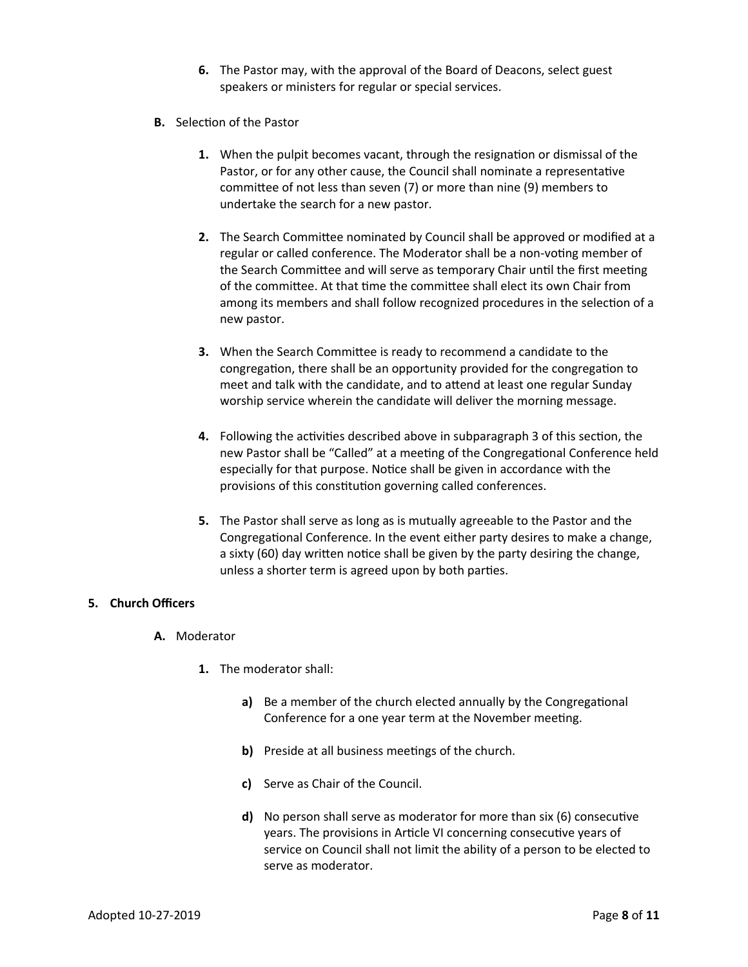- **6.** The Pastor may, with the approval of the Board of Deacons, select guest speakers or ministers for regular or special services.
- **B.** Selection of the Pastor
	- **1.** When the pulpit becomes vacant, through the resignation or dismissal of the Pastor, or for any other cause, the Council shall nominate a representative committee of not less than seven (7) or more than nine (9) members to undertake the search for a new pastor.
	- **2.** The Search Committee nominated by Council shall be approved or modified at a regular or called conference. The Moderator shall be a non-voting member of the Search Committee and will serve as temporary Chair until the first meeting of the committee. At that time the committee shall elect its own Chair from among its members and shall follow recognized procedures in the selection of a new pastor.
	- **3.** When the Search Committee is ready to recommend a candidate to the congregation, there shall be an opportunity provided for the congregation to meet and talk with the candidate, and to attend at least one regular Sunday worship service wherein the candidate will deliver the morning message.
	- **4.** Following the activities described above in subparagraph 3 of this section, the new Pastor shall be "Called" at a meeting of the Congregational Conference held especially for that purpose. Notice shall be given in accordance with the provisions of this constitution governing called conferences.
	- **5.** The Pastor shall serve as long as is mutually agreeable to the Pastor and the Congregational Conference. In the event either party desires to make a change, a sixty (60) day written notice shall be given by the party desiring the change, unless a shorter term is agreed upon by both parties.

## **5. Church Officers**

- **A.** Moderator
	- **1.** The moderator shall:
		- **a)** Be a member of the church elected annually by the Congregational Conference for a one year term at the November meeting.
		- **b)** Preside at all business meetings of the church.
		- **c)** Serve as Chair of the Council.
		- **d)** No person shall serve as moderator for more than six (6) consecutive years. The provisions in Article VI concerning consecutive years of service on Council shall not limit the ability of a person to be elected to serve as moderator.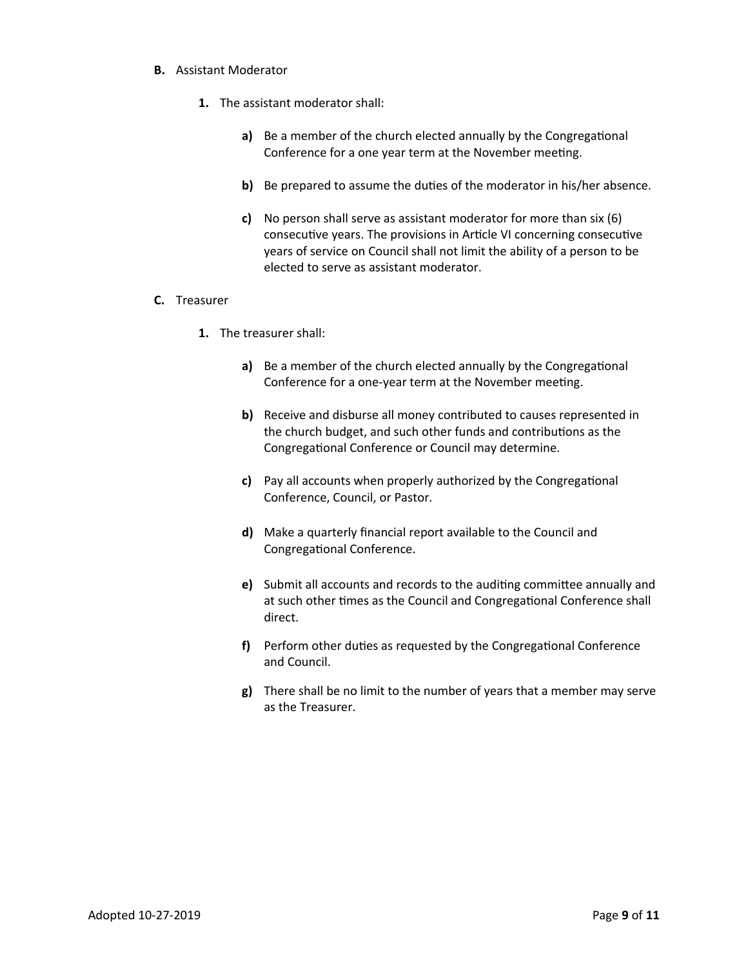#### **B.** Assistant Moderator

- **1.** The assistant moderator shall:
	- **a)** Be a member of the church elected annually by the Congregational Conference for a one year term at the November meeting.
	- **b)** Be prepared to assume the duties of the moderator in his/her absence.
	- **c)** No person shall serve as assistant moderator for more than six (6) consecutive years. The provisions in Article VI concerning consecutive years of service on Council shall not limit the ability of a person to be elected to serve as assistant moderator.

#### **C.** Treasurer

- **1.** The treasurer shall:
	- **a)** Be a member of the church elected annually by the Congregational Conference for a one-year term at the November meeting.
	- **b)** Receive and disburse all money contributed to causes represented in the church budget, and such other funds and contributions as the Congregational Conference or Council may determine.
	- **c)** Pay all accounts when properly authorized by the Congregational Conference, Council, or Pastor.
	- **d)** Make a quarterly financial report available to the Council and Congregational Conference.
	- **e)** Submit all accounts and records to the auditing committee annually and at such other times as the Council and Congregational Conference shall direct.
	- **f)** Perform other duties as requested by the Congregational Conference and Council.
	- **g)** There shall be no limit to the number of years that a member may serve as the Treasurer.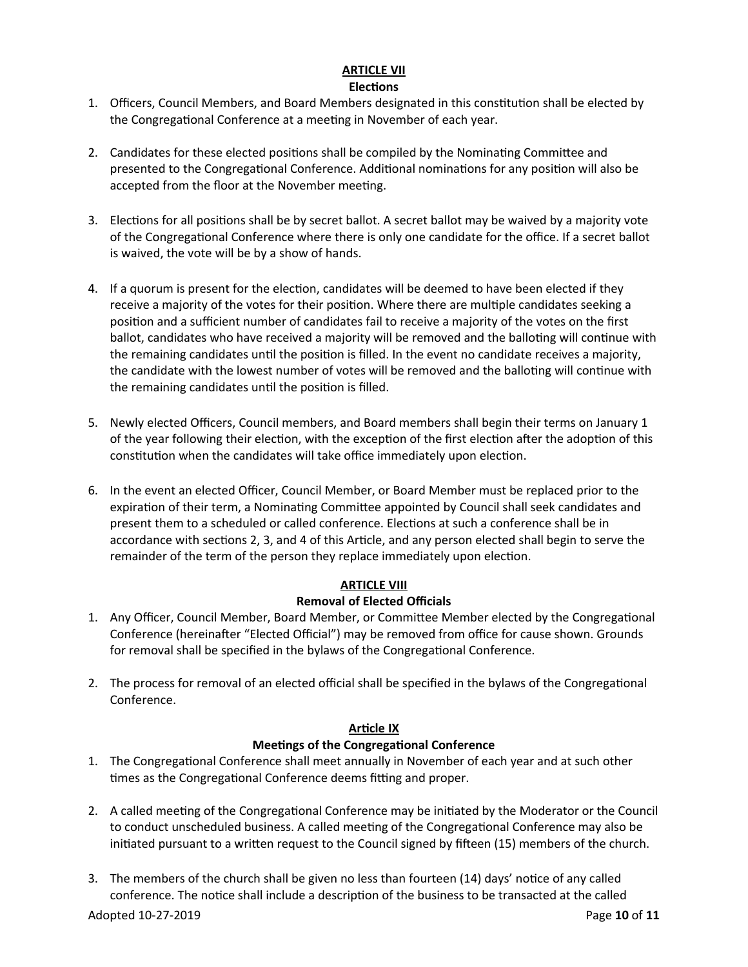# **ARTICLE VII**

## **Elections**

- 1. Officers, Council Members, and Board Members designated in this constitution shall be elected by the Congregational Conference at a meeting in November of each year.
- 2. Candidates for these elected positions shall be compiled by the Nominating Committee and presented to the Congregational Conference. Additional nominations for any position will also be accepted from the floor at the November meeting.
- 3. Elections for all positions shall be by secret ballot. A secret ballot may be waived by a majority vote of the Congregational Conference where there is only one candidate for the office. If a secret ballot is waived, the vote will be by a show of hands.
- 4. If a quorum is present for the election, candidates will be deemed to have been elected if they receive a majority of the votes for their position. Where there are multiple candidates seeking a position and a sufficient number of candidates fail to receive a majority of the votes on the first ballot, candidates who have received a majority will be removed and the balloting will continue with the remaining candidates until the position is filled. In the event no candidate receives a majority, the candidate with the lowest number of votes will be removed and the balloting will continue with the remaining candidates until the position is filled.
- 5. Newly elected Officers, Council members, and Board members shall begin their terms on January 1 of the year following their election, with the exception of the first election after the adoption of this constitution when the candidates will take office immediately upon election.
- 6. In the event an elected Officer, Council Member, or Board Member must be replaced prior to the expiration of their term, a Nominating Committee appointed by Council shall seek candidates and present them to a scheduled or called conference. Elections at such a conference shall be in accordance with sections 2, 3, and 4 of this Article, and any person elected shall begin to serve the remainder of the term of the person they replace immediately upon election.

# **ARTICLE VIII**

# **Removal of Elected Officials**

- 1. Any Officer, Council Member, Board Member, or Committee Member elected by the Congregational Conference (hereinafter "Elected Official") may be removed from office for cause shown. Grounds for removal shall be specified in the bylaws of the Congregational Conference.
- 2. The process for removal of an elected official shall be specified in the bylaws of the Congregational Conference.

# **Article IX**

# **Meetings of the Congregational Conference**

- 1. The Congregational Conference shall meet annually in November of each year and at such other times as the Congregational Conference deems fitting and proper.
- 2. A called meeting of the Congregational Conference may be initiated by the Moderator or the Council to conduct unscheduled business. A called meeting of the Congregational Conference may also be initiated pursuant to a written request to the Council signed by fifteen (15) members of the church.
- 3. The members of the church shall be given no less than fourteen (14) days' notice of any called conference. The notice shall include a description of the business to be transacted at the called